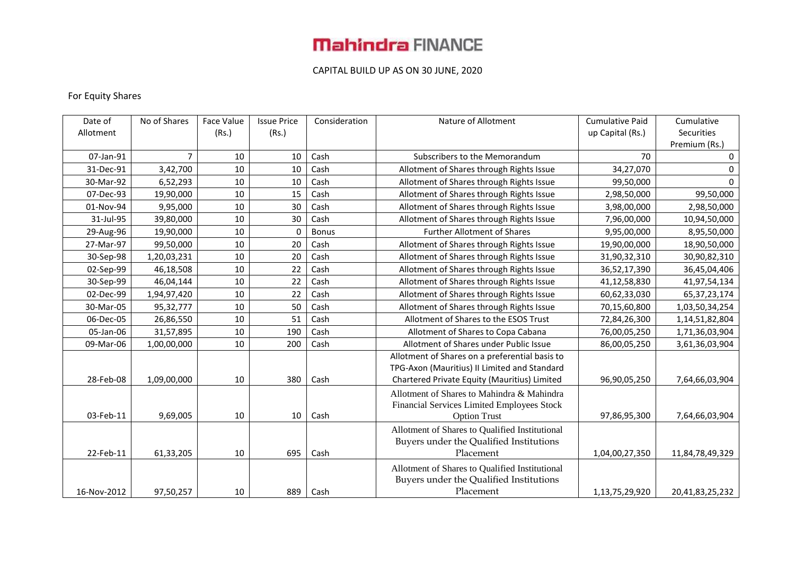### CAPITAL BUILD UP AS ON 30 JUNE, 2020

### For Equity Shares

| Date of     | No of Shares | Face Value | <b>Issue Price</b> | Consideration | Nature of Allotment                            | <b>Cumulative Paid</b> | Cumulative      |
|-------------|--------------|------------|--------------------|---------------|------------------------------------------------|------------------------|-----------------|
| Allotment   |              | (Rs.)      | (Rs.)              |               |                                                | up Capital (Rs.)       | Securities      |
|             |              |            |                    |               |                                                |                        | Premium (Rs.)   |
| 07-Jan-91   | 7            | 10         | 10                 | Cash          | Subscribers to the Memorandum                  | 70                     | 0               |
| 31-Dec-91   | 3,42,700     | 10         | 10                 | Cash          | Allotment of Shares through Rights Issue       | 34,27,070              | 0               |
| 30-Mar-92   | 6,52,293     | 10         | 10                 | Cash          | Allotment of Shares through Rights Issue       | 99,50,000              | $\Omega$        |
| 07-Dec-93   | 19,90,000    | 10         | 15                 | Cash          | Allotment of Shares through Rights Issue       | 2,98,50,000            | 99,50,000       |
| 01-Nov-94   | 9,95,000     | 10         | 30                 | Cash          | Allotment of Shares through Rights Issue       | 3,98,00,000            | 2,98,50,000     |
| 31-Jul-95   | 39,80,000    | 10         | 30                 | Cash          | Allotment of Shares through Rights Issue       | 7,96,00,000            | 10,94,50,000    |
| 29-Aug-96   | 19,90,000    | 10         | $\mathbf{0}$       | <b>Bonus</b>  | <b>Further Allotment of Shares</b>             | 9,95,00,000            | 8,95,50,000     |
| 27-Mar-97   | 99,50,000    | 10         | 20                 | Cash          | Allotment of Shares through Rights Issue       | 19,90,00,000           | 18,90,50,000    |
| 30-Sep-98   | 1,20,03,231  | 10         | 20                 | Cash          | Allotment of Shares through Rights Issue       | 31,90,32,310           | 30,90,82,310    |
| 02-Sep-99   | 46,18,508    | 10         | 22                 | Cash          | Allotment of Shares through Rights Issue       | 36,52,17,390           | 36,45,04,406    |
| 30-Sep-99   | 46,04,144    | 10         | 22                 | Cash          | Allotment of Shares through Rights Issue       | 41,12,58,830           | 41,97,54,134    |
| 02-Dec-99   | 1,94,97,420  | 10         | 22                 | Cash          | Allotment of Shares through Rights Issue       | 60,62,33,030           | 65, 37, 23, 174 |
| 30-Mar-05   | 95,32,777    | 10         | 50                 | Cash          | Allotment of Shares through Rights Issue       | 70,15,60,800           | 1,03,50,34,254  |
| 06-Dec-05   | 26,86,550    | 10         | 51                 | Cash          | Allotment of Shares to the ESOS Trust          | 72,84,26,300           | 1,14,51,82,804  |
| 05-Jan-06   | 31,57,895    | 10         | 190                | Cash          | Allotment of Shares to Copa Cabana             | 76,00,05,250           | 1,71,36,03,904  |
| 09-Mar-06   | 1,00,00,000  | 10         | 200                | Cash          | Allotment of Shares under Public Issue         | 86,00,05,250           | 3,61,36,03,904  |
|             |              |            |                    |               | Allotment of Shares on a preferential basis to |                        |                 |
|             |              |            |                    |               | TPG-Axon (Mauritius) II Limited and Standard   |                        |                 |
| 28-Feb-08   | 1,09,00,000  | 10         | 380                | Cash          | Chartered Private Equity (Mauritius) Limited   | 96,90,05,250           | 7,64,66,03,904  |
|             |              |            |                    |               | Allotment of Shares to Mahindra & Mahindra     |                        |                 |
|             |              |            |                    |               | Financial Services Limited Employees Stock     |                        |                 |
| 03-Feb-11   | 9,69,005     | 10         | 10                 | Cash          | <b>Option Trust</b>                            | 97,86,95,300           | 7,64,66,03,904  |
|             |              |            |                    |               | Allotment of Shares to Qualified Institutional |                        |                 |
|             |              |            |                    |               | Buyers under the Qualified Institutions        |                        |                 |
| 22-Feb-11   | 61,33,205    | 10         | 695                | Cash          | Placement                                      | 1,04,00,27,350         | 11,84,78,49,329 |
|             |              |            |                    |               | Allotment of Shares to Qualified Institutional |                        |                 |
|             |              |            |                    |               | Buyers under the Qualified Institutions        |                        |                 |
| 16-Nov-2012 | 97,50,257    | 10         | 889                | Cash          | Placement                                      | 1,13,75,29,920         | 20,41,83,25,232 |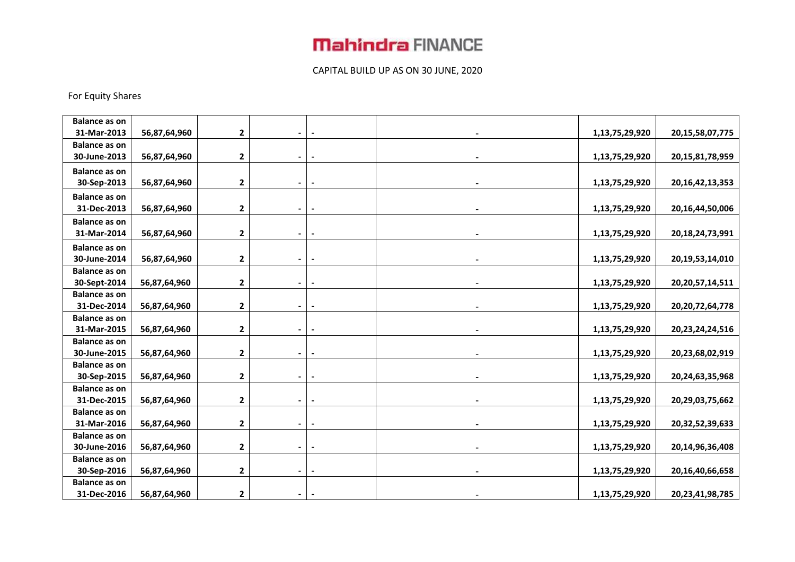### CAPITAL BUILD UP AS ON 30 JUNE, 2020

### For Equity Shares

| <b>Balance as on</b>                |              |                         |                          |                          |                |                     |
|-------------------------------------|--------------|-------------------------|--------------------------|--------------------------|----------------|---------------------|
| 31-Mar-2013                         | 56,87,64,960 | $\mathbf{2}$            |                          |                          | 1,13,75,29,920 | 20, 15, 58, 07, 775 |
| <b>Balance as on</b>                |              |                         |                          |                          |                |                     |
| 30-June-2013                        | 56,87,64,960 | $\mathbf{2}$            | $\overline{\phantom{a}}$ |                          | 1,13,75,29,920 | 20, 15, 81, 78, 959 |
| <b>Balance as on</b>                |              |                         |                          |                          |                |                     |
| 30-Sep-2013                         | 56,87,64,960 | 2                       | $\blacksquare$           | $\blacksquare$           | 1,13,75,29,920 | 20, 16, 42, 13, 353 |
| <b>Balance as on</b>                |              |                         |                          |                          |                |                     |
| 31-Dec-2013                         | 56,87,64,960 | $\mathbf{2}$            | $\blacksquare$           |                          | 1,13,75,29,920 | 20,16,44,50,006     |
| <b>Balance as on</b>                |              |                         |                          |                          |                |                     |
| 31-Mar-2014                         | 56,87,64,960 | 2                       |                          |                          | 1,13,75,29,920 | 20, 18, 24, 73, 991 |
| <b>Balance as on</b>                |              |                         |                          |                          |                |                     |
| 30-June-2014                        | 56,87,64,960 | 2                       |                          |                          | 1,13,75,29,920 | 20,19,53,14,010     |
| <b>Balance as on</b>                |              |                         |                          |                          |                |                     |
| 30-Sept-2014                        | 56,87,64,960 | $\mathbf{2}$            |                          |                          | 1,13,75,29,920 | 20, 20, 57, 14, 511 |
| <b>Balance as on</b>                |              |                         |                          |                          |                |                     |
| 31-Dec-2014                         | 56,87,64,960 | 2                       | $\blacksquare$           | $\overline{\phantom{a}}$ | 1,13,75,29,920 | 20, 20, 72, 64, 778 |
| <b>Balance as on</b>                |              |                         |                          |                          |                |                     |
| 31-Mar-2015                         | 56,87,64,960 | 2                       |                          |                          | 1,13,75,29,920 | 20, 23, 24, 24, 516 |
| <b>Balance as on</b>                |              |                         |                          |                          |                |                     |
| 30-June-2015                        | 56,87,64,960 | $\mathbf{2}$            |                          |                          | 1,13,75,29,920 | 20,23,68,02,919     |
| <b>Balance as on</b>                |              |                         |                          |                          |                |                     |
| 30-Sep-2015                         | 56,87,64,960 | $\mathbf{2}$            |                          |                          | 1,13,75,29,920 | 20,24,63,35,968     |
| <b>Balance as on</b>                |              |                         |                          |                          |                |                     |
| 31-Dec-2015                         | 56,87,64,960 | $\mathbf{2}$            |                          |                          | 1,13,75,29,920 | 20,29,03,75,662     |
| <b>Balance as on</b>                |              |                         |                          |                          |                |                     |
| 31-Mar-2016<br><b>Balance as on</b> | 56,87,64,960 | 2                       |                          |                          | 1,13,75,29,920 | 20,32,52,39,633     |
| 30-June-2016                        | 56,87,64,960 | $\overline{\mathbf{2}}$ |                          |                          | 1,13,75,29,920 | 20,14,96,36,408     |
| <b>Balance as on</b>                |              |                         |                          |                          |                |                     |
| 30-Sep-2016                         | 56,87,64,960 | 2                       |                          |                          | 1,13,75,29,920 | 20,16,40,66,658     |
| <b>Balance as on</b>                |              |                         |                          |                          |                |                     |
| 31-Dec-2016                         | 56,87,64,960 | 2                       |                          |                          | 1,13,75,29,920 | 20,23,41,98,785     |
|                                     |              |                         |                          |                          |                |                     |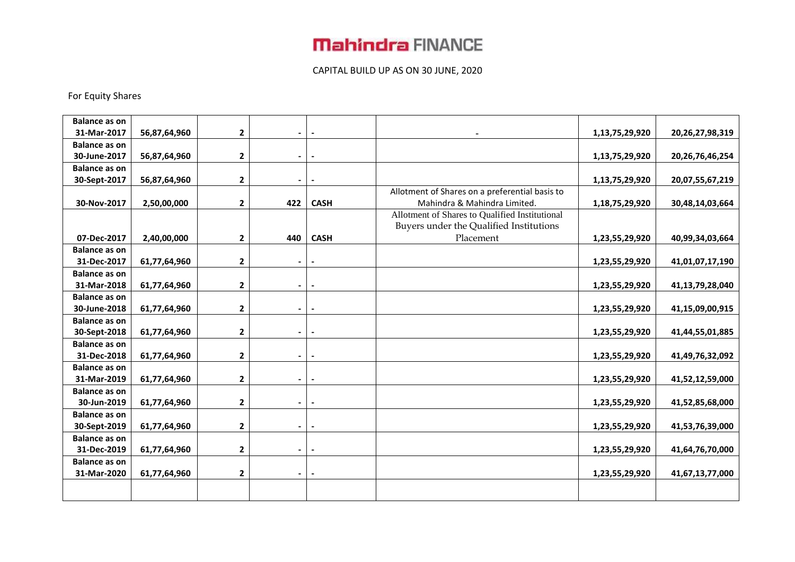### CAPITAL BUILD UP AS ON 30 JUNE, 2020

### For Equity Shares

| <b>Balance as on</b> |              |                         |                          |                          |                                                |                |                     |
|----------------------|--------------|-------------------------|--------------------------|--------------------------|------------------------------------------------|----------------|---------------------|
| 31-Mar-2017          | 56,87,64,960 | $\mathbf 2$             | $\overline{\phantom{a}}$ |                          |                                                | 1,13,75,29,920 | 20,26,27,98,319     |
| <b>Balance as on</b> |              |                         |                          |                          |                                                |                |                     |
| 30-June-2017         | 56,87,64,960 | $\mathbf 2$             | $\blacksquare$           | $\overline{\phantom{a}}$ |                                                | 1,13,75,29,920 | 20, 26, 76, 46, 254 |
| <b>Balance as on</b> |              |                         |                          |                          |                                                |                |                     |
| 30-Sept-2017         | 56,87,64,960 | $\mathbf{2}$            | $\blacksquare$           | $\overline{\phantom{a}}$ |                                                | 1,13,75,29,920 | 20,07,55,67,219     |
|                      |              |                         |                          |                          | Allotment of Shares on a preferential basis to |                |                     |
| 30-Nov-2017          | 2,50,00,000  | $\mathbf{2}$            | 422                      | <b>CASH</b>              | Mahindra & Mahindra Limited.                   | 1,18,75,29,920 | 30,48,14,03,664     |
|                      |              |                         |                          |                          | Allotment of Shares to Qualified Institutional |                |                     |
|                      |              |                         |                          |                          | Buyers under the Qualified Institutions        |                |                     |
| 07-Dec-2017          | 2,40,00,000  | $\mathbf 2$             | 440                      | <b>CASH</b>              | Placement                                      | 1,23,55,29,920 | 40,99,34,03,664     |
| <b>Balance as on</b> |              |                         |                          |                          |                                                |                |                     |
| 31-Dec-2017          | 61,77,64,960 | $\mathbf{2}$            | $\overline{\phantom{0}}$ | $\overline{\phantom{a}}$ |                                                | 1,23,55,29,920 | 41,01,07,17,190     |
| <b>Balance as on</b> |              |                         |                          |                          |                                                |                |                     |
| 31-Mar-2018          | 61,77,64,960 | $\mathbf{2}$            | $\blacksquare$           | $\overline{\phantom{a}}$ |                                                | 1,23,55,29,920 | 41,13,79,28,040     |
| <b>Balance as on</b> |              |                         |                          |                          |                                                |                |                     |
| 30-June-2018         | 61,77,64,960 | $\mathbf{2}$            | $\blacksquare$           |                          |                                                | 1,23,55,29,920 | 41,15,09,00,915     |
| <b>Balance as on</b> |              |                         |                          |                          |                                                |                |                     |
| 30-Sept-2018         | 61,77,64,960 | $\mathbf 2$             | $\blacksquare$           | $\overline{\phantom{a}}$ |                                                | 1,23,55,29,920 | 41,44,55,01,885     |
| <b>Balance as on</b> |              |                         |                          |                          |                                                |                |                     |
| 31-Dec-2018          | 61,77,64,960 | $\mathbf{2}$            | $\blacksquare$           | $\overline{\phantom{a}}$ |                                                | 1,23,55,29,920 | 41,49,76,32,092     |
| <b>Balance as on</b> |              |                         |                          |                          |                                                |                |                     |
| 31-Mar-2019          | 61,77,64,960 | $\mathbf{2}$            | $\blacksquare$           | $\blacksquare$           |                                                | 1,23,55,29,920 | 41,52,12,59,000     |
| <b>Balance as on</b> |              |                         |                          |                          |                                                |                |                     |
| 30-Jun-2019          | 61,77,64,960 | $\mathbf 2$             | $\blacksquare$           | $\blacksquare$           |                                                | 1,23,55,29,920 | 41,52,85,68,000     |
| <b>Balance as on</b> |              |                         |                          |                          |                                                |                |                     |
| 30-Sept-2019         | 61,77,64,960 | $\mathbf 2$             | $\blacksquare$           | $\blacksquare$           |                                                | 1,23,55,29,920 | 41,53,76,39,000     |
| <b>Balance as on</b> |              |                         |                          |                          |                                                |                |                     |
| 31-Dec-2019          | 61,77,64,960 | $\overline{\mathbf{2}}$ | $\overline{\phantom{0}}$ | $\blacksquare$           |                                                | 1,23,55,29,920 | 41,64,76,70,000     |
| <b>Balance as on</b> |              |                         |                          |                          |                                                |                |                     |
| 31-Mar-2020          | 61,77,64,960 | 2                       | $\blacksquare$           | $\blacksquare$           |                                                | 1,23,55,29,920 | 41,67,13,77,000     |
|                      |              |                         |                          |                          |                                                |                |                     |
|                      |              |                         |                          |                          |                                                |                |                     |